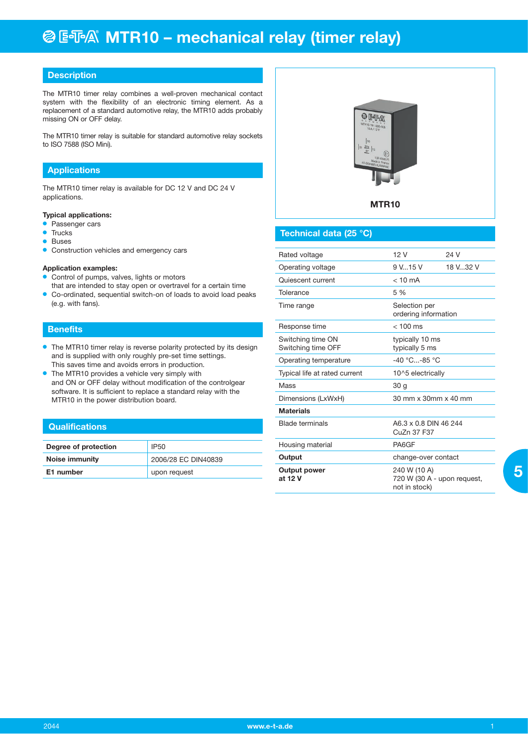## **@ EFA® MTR10 - mechanical relay (timer relay)**

## **Description**

The MTR10 timer relay combines a well-proven mechanical contact system with the flexibility of an electronic timing element. As a replacement of a standard automotive relay, the MTR10 adds probably missing ON or OFF delay.

The MTR10 timer relay is suitable for standard automotive relay sockets to ISO 7588 (ISO Mini).

## **Applications**

The MTR10 timer relay is available for DC 12 V and DC 24 V applications.

### **Typical applications:**

- Passenger cars
- $\bullet$  Trucks
- **•** Buses
- **Construction vehicles and emergency cars**

#### **Application examples:**

- Control of pumps, valves, lights or motors
- that are intended to stay open or overtravel for a certain time **Co-ordinated, sequential switch-on of loads to avoid load peaks** (e.g. with fans).

#### **Benefits**

- The MTR10 timer relay is reverse polarity protected by its design and is supplied with only roughly pre-set time settings. This saves time and avoids errors in production.
- $\bullet$  The MTR10 provides a vehicle very simply with and ON or OFF delay without modification of the controlgear software. It is sufficient to replace a standard relay with the MTR10 in the power distribution board.

#### **Qualifications**

| Degree of protection | <b>IP50</b>         |
|----------------------|---------------------|
| Noise immunity       | 2006/28 EC DIN40839 |
| E1 number            | upon request        |



## **Technical data (25 °C)**

| Rated voltage                           | 12 V                                                         | 24 V     |
|-----------------------------------------|--------------------------------------------------------------|----------|
| Operating voltage                       | 9 V., 15 V                                                   | 18 V32 V |
| Quiescent current                       | $< 10 \text{ mA}$                                            |          |
| Tolerance                               | 5 %                                                          |          |
| Time range                              | Selection per<br>ordering information                        |          |
| Response time                           | $< 100$ ms                                                   |          |
| Switching time ON<br>Switching time OFF | typically 10 ms<br>typically 5 ms                            |          |
| Operating temperature                   | $-40$ °C $-85$ °C.                                           |          |
| Typical life at rated current           | 10^5 electrically                                            |          |
| Mass                                    | 30 <sub>q</sub>                                              |          |
| Dimensions (LxWxH)                      | 30 mm x 30mm x 40 mm                                         |          |
| <b>Materials</b>                        |                                                              |          |
| <b>Blade terminals</b>                  | A6.3 x 0.8 DIN 46 244<br>CuZn 37 F37                         |          |
| Housing material                        | PA6GF                                                        |          |
| Output                                  | change-over contact                                          |          |
| Output power<br>at 12 V                 | 240 W (10 A)<br>720 W (30 A - upon request,<br>not in stock) |          |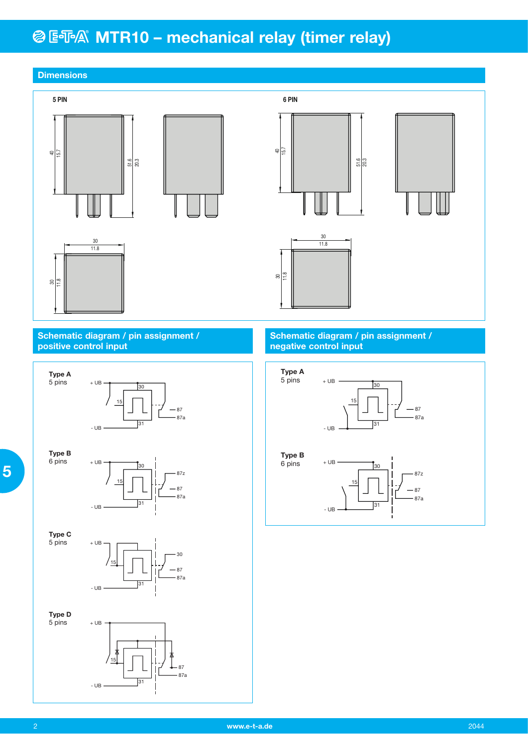## **@ E** T A MTR10 - mechanical relay (timer relay)



 **5**